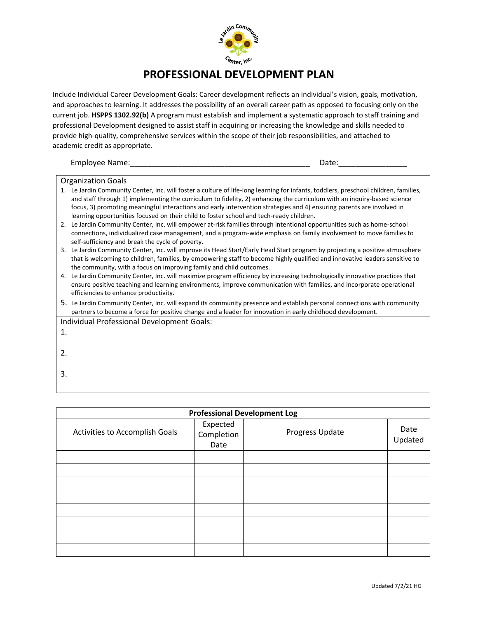

## **PROFESSIONAL DEVELOPMENT PLAN**

Include Individual Career Development Goals: Career development reflects an individual's vision, goals, motivation, and approaches to learning. It addresses the possibility of an overall career path as opposed to focusing only on the current job. **HSPPS 1302.92(b)** A program must establish and implement a systematic approach to staff training and professional Development designed to assist staff in acquiring or increasing the knowledge and skills needed to provide high-quality, comprehensive services within the scope of their job responsibilities, and attached to academic credit as appropriate.

Employee Name:\_\_\_\_\_\_\_\_\_\_\_\_\_\_\_\_\_\_\_\_\_\_\_\_\_\_\_\_\_\_\_\_\_\_\_\_\_\_\_\_\_\_ Date:\_\_\_\_\_\_\_\_\_\_\_\_\_\_\_\_

## Organization Goals

- 1. Le Jardin Community Center, Inc. will foster a culture of life-long learning for infants, toddlers, preschool children, families, and staff through 1) implementing the curriculum to fidelity, 2) enhancing the curriculum with an inquiry-based science focus, 3) promoting meaningful interactions and early intervention strategies and 4) ensuring parents are involved in learning opportunities focused on their child to foster school and tech-ready children.
- 2. Le Jardin Community Center, Inc. will empower at-risk families through intentional opportunities such as home-school connections, individualized case management, and a program-wide emphasis on family involvement to move families to self-sufficiency and break the cycle of poverty.
- 3. Le Jardin Community Center, Inc. will improve its Head Start/Early Head Start program by projecting a positive atmosphere that is welcoming to children, families, by empowering staff to become highly qualified and innovative leaders sensitive to the community, with a focus on improving family and child outcomes.
- 4. Le Jardin Community Center, Inc. will maximize program efficiency by increasing technologically innovative practices that ensure positive teaching and learning environments, improve communication with families, and incorporate operational efficiencies to enhance productivity.
- 5. Le Jardin Community Center, Inc. will expand its community presence and establish personal connections with community partners to become a force for positive change and a leader for innovation in early childhood development.
- Individual Professional Development Goals:
- 1.
- 2.
- 3.

| <b>Professional Development Log</b> |                                |                 |                 |  |  |  |
|-------------------------------------|--------------------------------|-----------------|-----------------|--|--|--|
| Activities to Accomplish Goals      | Expected<br>Completion<br>Date | Progress Update | Date<br>Updated |  |  |  |
|                                     |                                |                 |                 |  |  |  |
|                                     |                                |                 |                 |  |  |  |
|                                     |                                |                 |                 |  |  |  |
|                                     |                                |                 |                 |  |  |  |
|                                     |                                |                 |                 |  |  |  |
|                                     |                                |                 |                 |  |  |  |
|                                     |                                |                 |                 |  |  |  |
|                                     |                                |                 |                 |  |  |  |